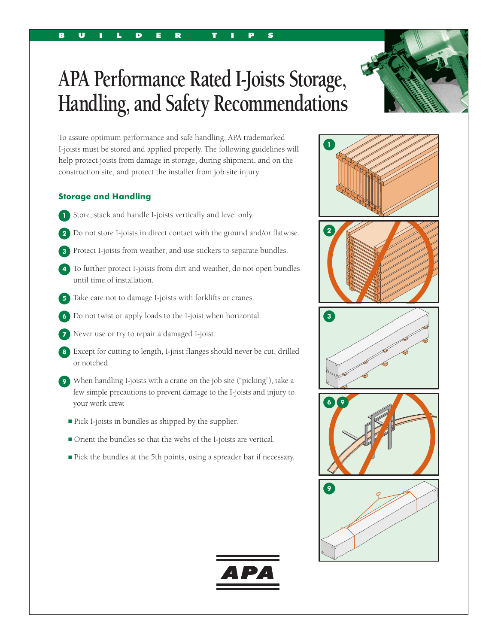# **APA Performance Rated I-Joists Storage, Handling, and Safety Recommendations**

To assure optimum performance and safe handling, APA trademarked I-joists must be stored and applied properly. The following guidelines will help protect joists from damage in storage, during shipment, and on the construction site, and protect the installer from job site injury.

B U I L D E R T I P S

## **Storage and Handling**

- **1** Store, stack and handle I-joists vertically and level only.
- **2** Do not store I-joists in direct contact with the ground and/or flatwise.
- **3** Protect I-joists from weather, and use stickers to separate bundles.
- **4** To further protect I-joists from dirt and weather, do not open bundles until time of installation.
- **5** Take care not to damage I-joists with forklifts or cranes.
- **6** Do not twist or apply loads to the I-joist when horizontal.
- **7** Never use or try to repair a damaged I-joist.
- **8** Except for cutting to length, I-joist flanges should never be cut, drilled or notched.
- **9** When handling I-joists with a crane on the job site ("picking"), take a few simple precautions to prevent damage to the I-joists and injury to your work crew.
	- Pick I-joists in bundles as shipped by the supplier.
	- Orient the bundles so that the webs of the I-joists are vertical.
	- Pick the bundles at the 5th points, using a spreader bar if necessary.